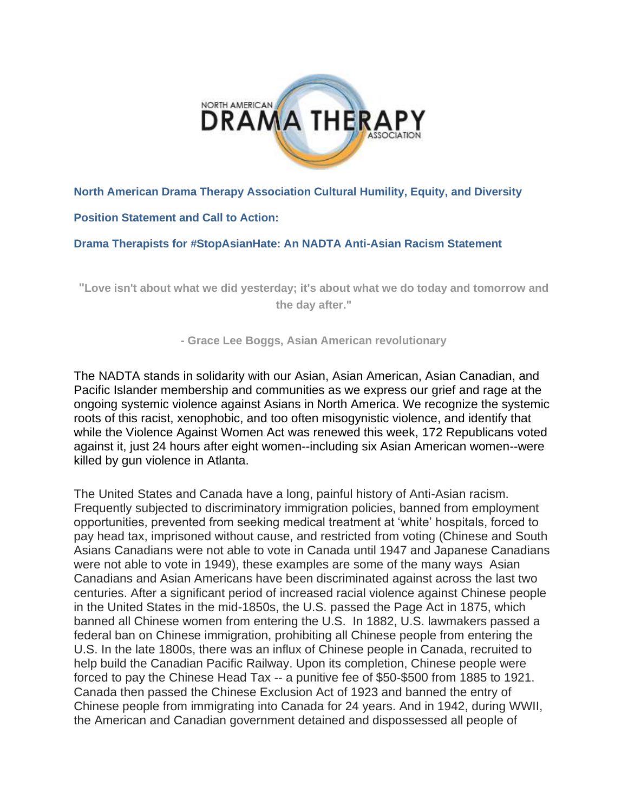

### **North American Drama Therapy Association Cultural Humility, Equity, and Diversity**

### **Position Statement and Call to Action:**

#### **Drama Therapists for #StopAsianHate: An NADTA Anti-Asian Racism Statement**

**"Love isn't about what we did yesterday; it's about what we do today and tomorrow and the day after."**

**- Grace Lee Boggs, Asian American revolutionary**

The NADTA stands in solidarity with our Asian, Asian American, Asian Canadian, and Pacific Islander membership and communities as we express our grief and rage at the ongoing systemic violence against Asians in North America. We recognize the systemic roots of this racist, xenophobic, and too often misogynistic violence, and identify that while the Violence Against Women Act was renewed this week, 172 Republicans voted against it, just 24 hours after eight women--including six Asian American women--were killed by gun violence in Atlanta.

The United States and Canada have a long, painful history of Anti-Asian racism. Frequently subjected to discriminatory immigration policies, banned from employment opportunities, prevented from seeking medical treatment at 'white' hospitals, forced to pay head tax, imprisoned without cause, and restricted from voting (Chinese and South Asians Canadians were not able to vote in Canada until 1947 and Japanese Canadians were not able to vote in 1949), these examples are some of the many ways Asian Canadians and Asian Americans have been discriminated against across the last two centuries. After a significant period of increased racial violence against Chinese people in the United States in the mid-1850s, the U.S. passed the Page Act in 1875, which banned all Chinese women from entering the U.S. In 1882, U.S. lawmakers passed a federal ban on Chinese immigration, prohibiting all Chinese people from entering the U.S. In the late 1800s, there was an influx of Chinese people in Canada, recruited to help build the Canadian Pacific Railway. Upon its completion, Chinese people were forced to pay the Chinese Head Tax -- a punitive fee of \$50-\$500 from 1885 to 1921. Canada then passed the Chinese Exclusion Act of 1923 and banned the entry of Chinese people from immigrating into Canada for 24 years. And in 1942, during WWII, the American and Canadian government detained and dispossessed all people of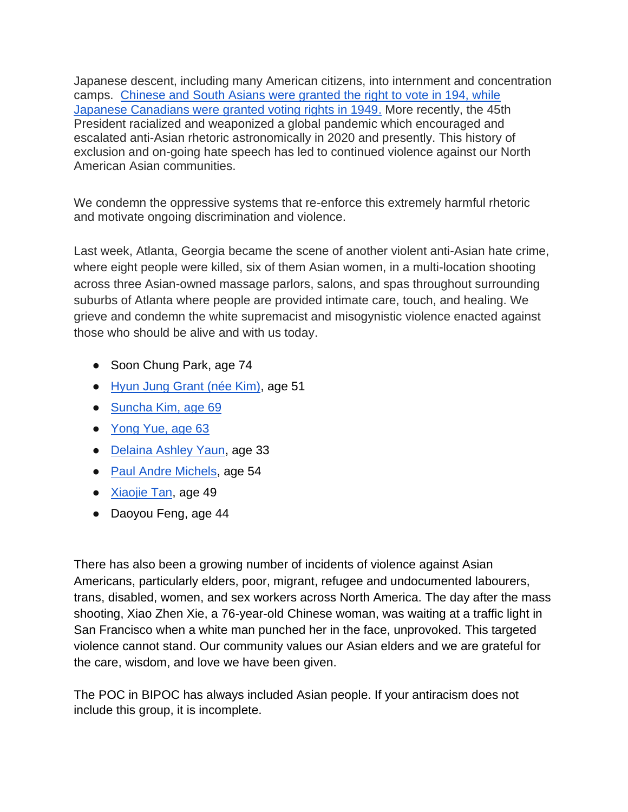Japanese descent, including many American citizens, into internment and concentration camps. [Chinese and South Asians were granted the right to vote in 194, while](https://www.toronto.com/news-story/10349793-timeline-this-is-canada-s-history-of-anti-asian-racism-that-covid-19-has-amplified/)  [Japanese Canadians were granted voting rights in 1949.](https://www.toronto.com/news-story/10349793-timeline-this-is-canada-s-history-of-anti-asian-racism-that-covid-19-has-amplified/) More recently, the 45th President racialized and weaponized a global pandemic which encouraged and escalated anti-Asian rhetoric astronomically in 2020 and presently. This history of exclusion and on-going hate speech has led to continued violence against our North American Asian communities.

We condemn the oppressive systems that re-enforce this extremely harmful rhetoric and motivate ongoing discrimination and violence.

Last week, Atlanta, Georgia became the scene of another violent anti-Asian hate crime, where eight people were killed, six of them Asian women, in a multi-location shooting across three Asian-owned massage parlors, salons, and spas throughout surrounding suburbs of Atlanta where people are provided intimate care, touch, and healing. We grieve and condemn the white supremacist and misogynistic violence enacted against those who should be alive and with us today.

- Soon Chung Park, age 74
- [Hyun Jung Grant \(née Kim\),](https://www.gofundme.com/f/in-memory-of-hyunjungkim-to-support-my-brother-i) age 51
- [Suncha Kim, age 69](https://ca.gofundme.com/f/in-loving-memory-of-sun-cha-kim)
- [Yong Yue, age 63](https://ca.gofundme.com/f/memorial-for-yong-yue-and-family)
- [Delaina Ashley Yaun,](https://www.theguardian.com/us-news/2021/mar/18/atlanta-shootings-victim-delaina-ashley-yaun) age 33
- [Paul Andre Michels,](https://www.theguardian.com/us-news/2021/mar/18/paul-andre-michels-atlanta-spa-shootings) age 54
- [Xiaojie Tan,](https://www.theguardian.com/us-news/2021/mar/19/xiaojie-tan-atlanta-spa-shootings-victim) age 49
- Daoyou Feng, age 44

There has also been a growing number of incidents of violence against Asian Americans, particularly elders, poor, migrant, refugee and undocumented labourers, trans, disabled, women, and sex workers across North America. The day after the mass shooting, Xiao Zhen Xie, a 76-year-old Chinese woman, was waiting at a traffic light in San Francisco when a white man punched her in the face, unprovoked. This targeted violence cannot stand. Our community values our Asian elders and we are grateful for the care, wisdom, and love we have been given.

The POC in BIPOC has always included Asian people. If your antiracism does not include this group, it is incomplete.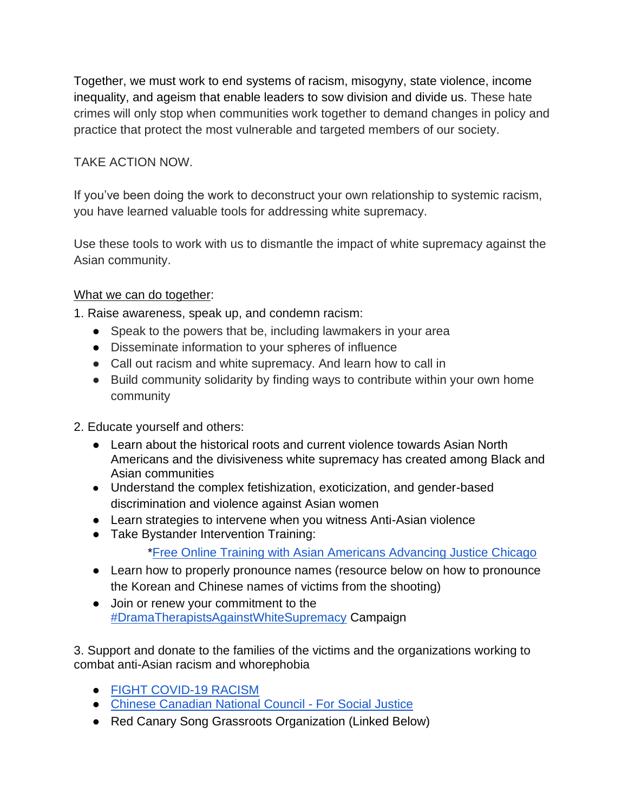Together, we must work to end systems of racism, misogyny, state violence, income inequality, and ageism that enable leaders to sow division and divide us. These hate crimes will only stop when communities work together to demand changes in policy and practice that protect the most vulnerable and targeted members of our society.

# TAKE ACTION NOW.

If you've been doing the work to deconstruct your own relationship to systemic racism, you have learned valuable tools for addressing white supremacy.

Use these tools to work with us to dismantle the impact of white supremacy against the Asian community.

### What we can do together:

1. Raise awareness, speak up, and condemn racism:

- Speak to the powers that be, including lawmakers in your area
- Disseminate information to your spheres of influence
- Call out racism and white supremacy. And learn how to call in
- Build community solidarity by finding ways to contribute within your own home community
- 2. Educate yourself and others:
	- Learn about the historical roots and current violence towards Asian North Americans and the divisiveness white supremacy has created among Black and Asian communities
	- Understand the complex fetishization, exoticization, and gender-based discrimination and violence against Asian women
	- Learn strategies to intervene when you witness Anti-Asian violence
	- Take Bystander Intervention Training:

[\\*Free Online Training with Asian Americans Advancing Justice Chicago](https://www.advancingjustice-chicago.org/what-we-do/bystander-intervention-trainings/?fbclid=IwAR3WVgmFeL5nt5YmlN4xlV07kRBa7nmOon4jM2DrpqePxQu6rYtN84dA-ss)

- Learn how to properly pronounce names (resource below on how to pronounce the Korean and Chinese names of victims from the shooting)
- Join or renew your commitment to the [#DramaTherapistsAgainstWhiteSupremacy](https://www.nadta.org/about-nadta/diversity/dramatherapistsagainstwhitesupremacy.html) Campaign

3. Support and donate to the families of the victims and the organizations working to combat anti-Asian racism and whorephobia

- [FIGHT COVID-19 RACISM](https://www.google.com/url?q=https://www.covidracism.ca/&sa=D&source=editors&ust=1616598158300000&usg=AOvVaw1m3FluTfeKdBXvEqtBgTS0)
- [Chinese Canadian National Council -](https://www.google.com/url?q=https://ccncsj.ca/&sa=D&source=editors&ust=1616598158301000&usg=AOvVaw31TnBS832jGNAkPH4nk96I) For Social Justice
- Red Canary Song Grassroots Organization (Linked Below)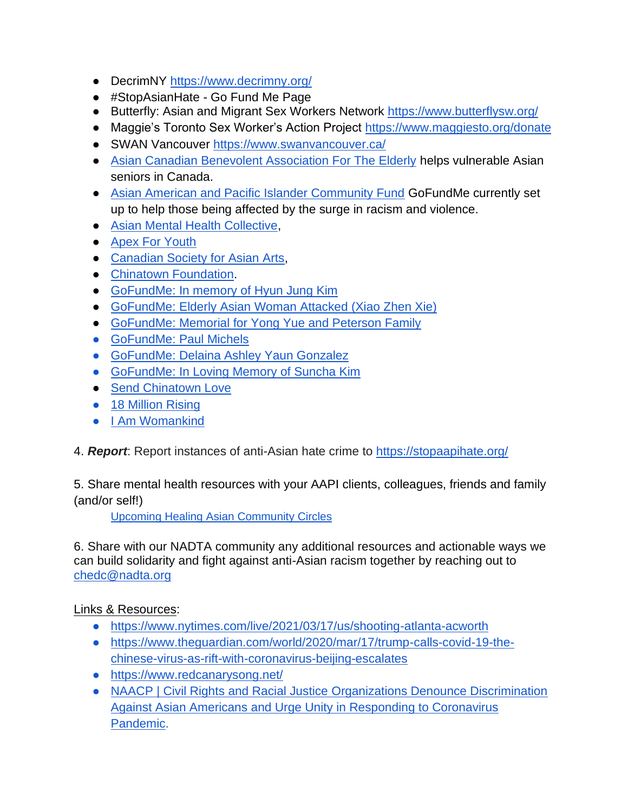- DecrimNY<https://www.decrimny.org/>
- #StopAsianHate Go Fund Me Page
- Butterfly: Asian and Migrant Sex Workers Network<https://www.butterflysw.org/>
- Maggie's Toronto Sex Worker's Action Project<https://www.maggiesto.org/donate>
- SWAN Vancouver<https://www.swanvancouver.ca/>
- [Asian Canadian Benevolent Association For The Elderly](https://acbaglobal.org/) helps vulnerable Asian seniors in Canada.
- [Asian American and Pacific Islander Community Fund](https://www.gofundme.com/c/act/stop-aapi-hate) GoFundMe currently set up to help those being affected by the surge in racism and violence.
- [Asian Mental Health Collective,](https://www.asianmhc.org/)
- [Apex For Youth](https://www.apexforyouth.org/)
- [Canadian Society for Asian Arts,](http://www.canadiansocietyforasianarts.org/)
- [Chinatown Foundation.](https://www.chinatownfoundation.org/)
- [GoFundMe: In memory of Hyun Jung Kim](https://www.gofundme.com/f/in-memory-of-hyunjungkim-to-support-my-brother-i?utm_campaign=p_cp+share-sheet&utm_medium=copy_link_all&utm_source=customer)
- [GoFundMe: Elderly Asian Woman Attacked \(Xiao Zhen Xie\)](https://www.gofundme.com/f/2b8zh292uo)
- [GoFundMe: Memorial for Yong Yue and Peterson Family](https://ca.gofundme.com/f/memorial-for-yong-yue-and-family)
- [GoFundMe: Paul Michels](https://ca.gofundme.com/f/atlanta-spa-shooting-victim-paul-michels)
- GoFundMe: Delaina Ashley Yaun Gonzalez
- [GoFundMe: In Loving Memory of Suncha Kim](https://ca.gofundme.com/f/in-loving-memory-of-sun-cha-kim)
- [Send Chinatown Love](https://www.sendchinatownlove.com/)
- [18 Million Rising](https://18millionrising.org/)
- [I Am Womankind](https://www.iamwomankind.org/)
- 4. *Report*: Report instances of anti-Asian hate crime to<https://stopaapihate.org/>

5. Share mental health resources with your AAPI clients, colleagues, friends and family (and/or self!)

[Upcoming Healing Asian Community Circles](https://circles.modernhealth.com/series/healing-asian-communities?fbclid=IwAR2-tInrpMESuCyuW81-SpicliNhSAkPBhhE9kvKv67lmPLUfJklWT36IdU#Upcoming-Circles)

6. Share with our NADTA community any additional resources and actionable ways we can build solidarity and fight against anti-Asian racism together by reaching out to [chedc@nadta.org](mailto:chedc@nadta.org)

### Links & Resources:

- <https://www.nytimes.com/live/2021/03/17/us/shooting-atlanta-acworth>
- [https://www.theguardian.com/world/2020/mar/17/trump-calls-covid-19-the](https://www.theguardian.com/world/2020/mar/17/trump-calls-covid-19-the-chinese-virus-as-rift-with-coronavirus-beijing-escalates)[chinese-virus-as-rift-with-coronavirus-beijing-escalates](https://www.theguardian.com/world/2020/mar/17/trump-calls-covid-19-the-chinese-virus-as-rift-with-coronavirus-beijing-escalates)
- <https://www.redcanarysong.net/>
- [NAACP | Civil Rights and Racial Justice Organizations Denounce Discrimination](https://www.naacp.org/latest/civil-rights-racial-justice-organizations-denounce-discrimination-asian-americans-urge-unity-responding-coronavirus-pandemic/)  [Against Asian Americans and Urge Unity in Responding to Coronavirus](https://www.naacp.org/latest/civil-rights-racial-justice-organizations-denounce-discrimination-asian-americans-urge-unity-responding-coronavirus-pandemic/)  [Pandemic.](https://www.naacp.org/latest/civil-rights-racial-justice-organizations-denounce-discrimination-asian-americans-urge-unity-responding-coronavirus-pandemic/)